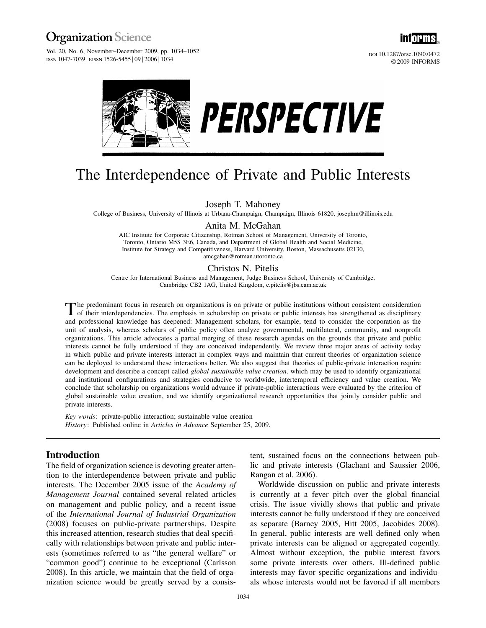**Vol. 20, No. 6, November–December 2009, pp. 1034–1052** ISSN 1047-7039 | EISSN 1526-5455 | 09 | 2006 | 1034



doi 10.1287/orsc.1090.0472 © 2009 INFORMS





# The Interdependence of Private and Public Interests

Joseph T. Mahoney

College of Business, University of Illinois at Urbana-Champaign, Champaign, Illinois 61820, josephm@illinois.edu

Anita M. McGahan

AIC Institute for Corporate Citizenship, Rotman School of Management, University of Toronto, Toronto, Ontario M5S 3E6, Canada, and Department of Global Health and Social Medicine, Institute for Strategy and Competitiveness, Harvard University, Boston, Massachusetts 02130, amcgahan@rotman.utoronto.ca

## Christos N. Pitelis

Centre for International Business and Management, Judge Business School, University of Cambridge, Cambridge CB2 1AG, United Kingdom, c.pitelis@jbs.cam.ac.uk

The predominant focus in research on organizations is on private or public institutions without consistent consideration<br>of their interdependencies. The emphasis in scholarship on private or public interests has strengthen and professional knowledge has deepened: Management scholars, for example, tend to consider the corporation as the unit of analysis, whereas scholars of public policy often analyze governmental, multilateral, community, and nonprofit organizations. This article advocates a partial merging of these research agendas on the grounds that private and public interests cannot be fully understood if they are conceived independently. We review three major areas of activity today in which public and private interests interact in complex ways and maintain that current theories of organization science can be deployed to understand these interactions better. We also suggest that theories of public-private interaction require development and describe a concept called *global sustainable value creation*, which may be used to identify organizational and institutional configurations and strategies conducive to worldwide, intertemporal efficiency and value creation. We conclude that scholarship on organizations would advance if private-public interactions were evaluated by the criterion of global sustainable value creation, and we identify organizational research opportunities that jointly consider public and private interests.

Key words: private-public interaction; sustainable value creation History: Published online in Articles in Advance September 25, 2009.

## Introduction

The field of organization science is devoting greater attention to the interdependence between private and public interests. The December 2005 issue of the Academy of Management Journal contained several related articles on management and public policy, and a recent issue of the International Journal of Industrial Organization (2008) focuses on public-private partnerships. Despite this increased attention, research studies that deal specifically with relationships between private and public interests (sometimes referred to as "the general welfare" or "common good") continue to be exceptional (Carlsson 2008). In this article, we maintain that the field of organization science would be greatly served by a consis-

tent, sustained focus on the connections between public and private interests (Glachant and Saussier 2006, Rangan et al. 2006).

Worldwide discussion on public and private interests is currently at a fever pitch over the global financial crisis. The issue vividly shows that public and private interests cannot be fully understood if they are conceived as separate (Barney 2005, Hitt 2005, Jacobides 2008). In general, public interests are well defined only when private interests can be aligned or aggregated cogently. Almost without exception, the public interest favors some private interests over others. Ill-defined public interests may favor specific organizations and individuals whose interests would not be favored if all members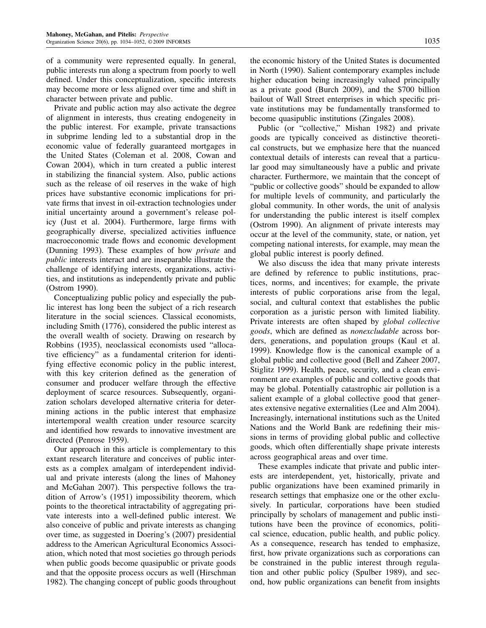of a community were represented equally. In general, public interests run along a spectrum from poorly to well defined. Under this conceptualization, specific interests may become more or less aligned over time and shift in character between private and public.

Private and public action may also activate the degree of alignment in interests, thus creating endogeneity in the public interest. For example, private transactions in subprime lending led to a substantial drop in the economic value of federally guaranteed mortgages in the United States (Coleman et al. 2008, Cowan and Cowan 2004), which in turn created a public interest in stabilizing the financial system. Also, public actions such as the release of oil reserves in the wake of high prices have substantive economic implications for private firms that invest in oil-extraction technologies under initial uncertainty around a government's release policy (Just et al. 2004). Furthermore, large firms with geographically diverse, specialized activities influence macroeconomic trade flows and economic development (Dunning 1993). These examples of how private and public interests interact and are inseparable illustrate the challenge of identifying interests, organizations, activities, and institutions as independently private and public (Ostrom 1990).

Conceptualizing public policy and especially the public interest has long been the subject of a rich research literature in the social sciences. Classical economists, including Smith (1776), considered the public interest as the overall wealth of society. Drawing on research by Robbins (1935), neoclassical economists used "allocative efficiency" as a fundamental criterion for identifying effective economic policy in the public interest, with this key criterion defined as the generation of consumer and producer welfare through the effective deployment of scarce resources. Subsequently, organization scholars developed alternative criteria for determining actions in the public interest that emphasize intertemporal wealth creation under resource scarcity and identified how rewards to innovative investment are directed (Penrose 1959).

Our approach in this article is complementary to this extant research literature and conceives of public interests as a complex amalgam of interdependent individual and private interests (along the lines of Mahoney and McGahan 2007). This perspective follows the tradition of Arrow's (1951) impossibility theorem, which points to the theoretical intractability of aggregating private interests into a well-defined public interest. We also conceive of public and private interests as changing over time, as suggested in Doering's (2007) presidential address to the American Agricultural Economics Association, which noted that most societies go through periods when public goods become quasipublic or private goods and that the opposite process occurs as well (Hirschman 1982). The changing concept of public goods throughout

the economic history of the United States is documented in North (1990). Salient contemporary examples include higher education being increasingly valued principally as a private good (Burch 2009), and the \$700 billion bailout of Wall Street enterprises in which specific private institutions may be fundamentally transformed to become quasipublic institutions (Zingales 2008).

Public (or "collective," Mishan 1982) and private goods are typically conceived as distinctive theoretical constructs, but we emphasize here that the nuanced contextual details of interests can reveal that a particular good may simultaneously have a public and private character. Furthermore, we maintain that the concept of "public or collective goods" should be expanded to allow for multiple levels of community, and particularly the global community. In other words, the unit of analysis for understanding the public interest is itself complex (Ostrom 1990). An alignment of private interests may occur at the level of the community, state, or nation, yet competing national interests, for example, may mean the global public interest is poorly defined.

We also discuss the idea that many private interests are defined by reference to public institutions, practices, norms, and incentives; for example, the private interests of public corporations arise from the legal, social, and cultural context that establishes the public corporation as a juristic person with limited liability. Private interests are often shaped by global collective goods, which are defined as nonexcludable across borders, generations, and population groups (Kaul et al. 1999). Knowledge flow is the canonical example of a global public and collective good (Bell and Zaheer 2007, Stiglitz 1999). Health, peace, security, and a clean environment are examples of public and collective goods that may be global. Potentially catastrophic air pollution is a salient example of a global collective good that generates extensive negative externalities (Lee and Alm 2004). Increasingly, international institutions such as the United Nations and the World Bank are redefining their missions in terms of providing global public and collective goods, which often differentially shape private interests across geographical areas and over time.

These examples indicate that private and public interests are interdependent, yet, historically, private and public organizations have been examined primarily in research settings that emphasize one or the other exclusively. In particular, corporations have been studied principally by scholars of management and public institutions have been the province of economics, political science, education, public health, and public policy. As a consequence, research has tended to emphasize, first, how private organizations such as corporations can be constrained in the public interest through regulation and other public policy (Spulber 1989), and second, how public organizations can benefit from insights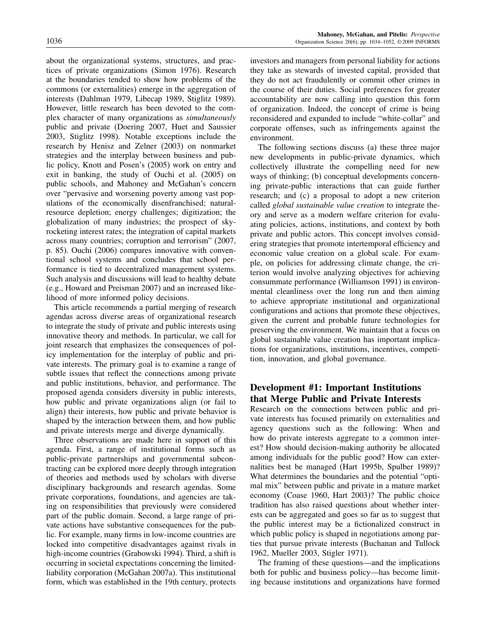about the organizational systems, structures, and practices of private organizations (Simon 1976). Research at the boundaries tended to show how problems of the commons (or externalities) emerge in the aggregation of interests (Dahlman 1979, Libecap 1989, Stiglitz 1989). However, little research has been devoted to the complex character of many organizations as simultaneously public and private (Doering 2007, Huet and Saussier 2003, Stiglitz 1998). Notable exceptions include the research by Henisz and Zelner (2003) on nonmarket strategies and the interplay between business and public policy, Knott and Posen's (2005) work on entry and exit in banking, the study of Ouchi et al. (2005) on public schools, and Mahoney and McGahan's concern over "pervasive and worsening poverty among vast populations of the economically disenfranchised; naturalresource depletion; energy challenges; digitization; the globalization of many industries; the prospect of skyrocketing interest rates; the integration of capital markets across many countries; corruption and terrorism" (2007, p. 85). Ouchi (2006) compares innovative with conventional school systems and concludes that school performance is tied to decentralized management systems. Such analysis and discussions will lead to healthy debate (e.g., Howard and Preisman 2007) and an increased likelihood of more informed policy decisions.

This article recommends a partial merging of research agendas across diverse areas of organizational research to integrate the study of private and public interests using innovative theory and methods. In particular, we call for joint research that emphasizes the consequences of policy implementation for the interplay of public and private interests. The primary goal is to examine a range of subtle issues that reflect the connections among private and public institutions, behavior, and performance. The proposed agenda considers diversity in public interests, how public and private organizations align (or fail to align) their interests, how public and private behavior is shaped by the interaction between them, and how public and private interests merge and diverge dynamically.

Three observations are made here in support of this agenda. First, a range of institutional forms such as public-private partnerships and governmental subcontracting can be explored more deeply through integration of theories and methods used by scholars with diverse disciplinary backgrounds and research agendas. Some private corporations, foundations, and agencies are taking on responsibilities that previously were considered part of the public domain. Second, a large range of private actions have substantive consequences for the public. For example, many firms in low-income countries are locked into competitive disadvantages against rivals in high-income countries (Grabowski 1994). Third, a shift is occurring in societal expectations concerning the limitedliability corporation (McGahan 2007a). This institutional form, which was established in the 19th century, protects investors and managers from personal liability for actions they take as stewards of invested capital, provided that they do not act fraudulently or commit other crimes in the course of their duties. Social preferences for greater accountability are now calling into question this form of organization. Indeed, the concept of crime is being reconsidered and expanded to include "white-collar" and corporate offenses, such as infringements against the environment.

The following sections discuss (a) these three major new developments in public-private dynamics, which collectively illustrate the compelling need for new ways of thinking; (b) conceptual developments concerning private-public interactions that can guide further research; and (c) a proposal to adopt a new criterion called global sustainable value creation to integrate theory and serve as a modern welfare criterion for evaluating policies, actions, institutions, and context by both private and public actors. This concept involves considering strategies that promote intertemporal efficiency and economic value creation on a global scale. For example, on policies for addressing climate change, the criterion would involve analyzing objectives for achieving consummate performance (Williamson 1991) in environmental cleanliness over the long run and then aiming to achieve appropriate institutional and organizational configurations and actions that promote these objectives, given the current and probable future technologies for preserving the environment. We maintain that a focus on global sustainable value creation has important implications for organizations, institutions, incentives, competition, innovation, and global governance.

## Development #1: Important Institutions that Merge Public and Private Interests

Research on the connections between public and private interests has focused primarily on externalities and agency questions such as the following: When and how do private interests aggregate to a common interest? How should decision-making authority be allocated among individuals for the public good? How can externalities best be managed (Hart 1995b, Spulber 1989)? What determines the boundaries and the potential "optimal mix" between public and private in a mature market economy (Coase 1960, Hart 2003)? The public choice tradition has also raised questions about whether interests can be aggregated and goes so far as to suggest that the public interest may be a fictionalized construct in which public policy is shaped in negotiations among parties that pursue private interests (Buchanan and Tullock 1962, Mueller 2003, Stigler 1971).

The framing of these questions—and the implications both for public and business policy—has become limiting because institutions and organizations have formed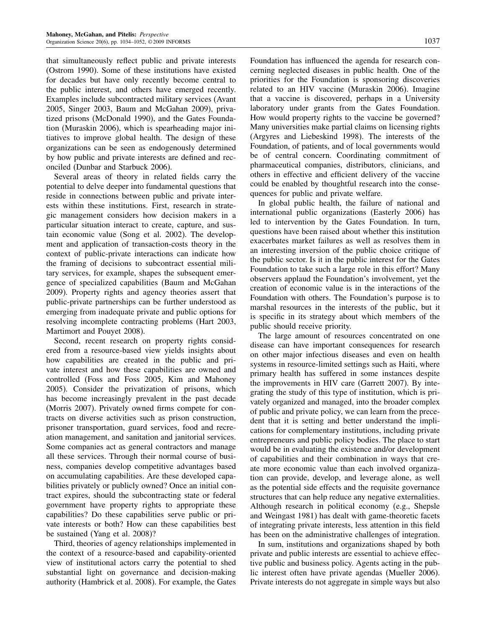that simultaneously reflect public and private interests (Ostrom 1990). Some of these institutions have existed for decades but have only recently become central to the public interest, and others have emerged recently. Examples include subcontracted military services (Avant 2005, Singer 2003, Baum and McGahan 2009), privatized prisons (McDonald 1990), and the Gates Foundation (Muraskin 2006), which is spearheading major initiatives to improve global health. The design of these organizations can be seen as endogenously determined by how public and private interests are defined and reconciled (Dunbar and Starbuck 2006).

Several areas of theory in related fields carry the potential to delve deeper into fundamental questions that reside in connections between public and private interests within these institutions. First, research in strategic management considers how decision makers in a particular situation interact to create, capture, and sustain economic value (Song et al. 2002). The development and application of transaction-costs theory in the context of public-private interactions can indicate how the framing of decisions to subcontract essential military services, for example, shapes the subsequent emergence of specialized capabilities (Baum and McGahan 2009). Property rights and agency theories assert that public-private partnerships can be further understood as emerging from inadequate private and public options for resolving incomplete contracting problems (Hart 2003, Martimort and Pouyet 2008).

Second, recent research on property rights considered from a resource-based view yields insights about how capabilities are created in the public and private interest and how these capabilities are owned and controlled (Foss and Foss 2005, Kim and Mahoney 2005). Consider the privatization of prisons, which has become increasingly prevalent in the past decade (Morris 2007). Privately owned firms compete for contracts on diverse activities such as prison construction, prisoner transportation, guard services, food and recreation management, and sanitation and janitorial services. Some companies act as general contractors and manage all these services. Through their normal course of business, companies develop competitive advantages based on accumulating capabilities. Are these developed capabilities privately or publicly owned? Once an initial contract expires, should the subcontracting state or federal government have property rights to appropriate these capabilities? Do these capabilities serve public or private interests or both? How can these capabilities best be sustained (Yang et al. 2008)?

Third, theories of agency relationships implemented in the context of a resource-based and capability-oriented view of institutional actors carry the potential to shed substantial light on governance and decision-making authority (Hambrick et al. 2008). For example, the Gates Foundation has influenced the agenda for research concerning neglected diseases in public health. One of the priorities for the Foundation is sponsoring discoveries related to an HIV vaccine (Muraskin 2006). Imagine that a vaccine is discovered, perhaps in a University laboratory under grants from the Gates Foundation. How would property rights to the vaccine be governed? Many universities make partial claims on licensing rights (Argyres and Liebeskind 1998). The interests of the Foundation, of patients, and of local governments would be of central concern. Coordinating commitment of pharmaceutical companies, distributors, clinicians, and others in effective and efficient delivery of the vaccine could be enabled by thoughtful research into the consequences for public and private welfare.

In global public health, the failure of national and international public organizations (Easterly 2006) has led to intervention by the Gates Foundation. In turn, questions have been raised about whether this institution exacerbates market failures as well as resolves them in an interesting inversion of the public choice critique of the public sector. Is it in the public interest for the Gates Foundation to take such a large role in this effort? Many observers applaud the Foundation's involvement, yet the creation of economic value is in the interactions of the Foundation with others. The Foundation's purpose is to marshal resources in the interests of the public, but it is specific in its strategy about which members of the public should receive priority.

The large amount of resources concentrated on one disease can have important consequences for research on other major infectious diseases and even on health systems in resource-limited settings such as Haiti, where primary health has suffered in some instances despite the improvements in HIV care (Garrett 2007). By integrating the study of this type of institution, which is privately organized and managed, into the broader complex of public and private policy, we can learn from the precedent that it is setting and better understand the implications for complementary institutions, including private entrepreneurs and public policy bodies. The place to start would be in evaluating the existence and/or development of capabilities and their combination in ways that create more economic value than each involved organization can provide, develop, and leverage alone, as well as the potential side effects and the requisite governance structures that can help reduce any negative externalities. Although research in political economy (e.g., Shepsle and Weingast 1981) has dealt with game-theoretic facets of integrating private interests, less attention in this field has been on the administrative challenges of integration.

In sum, institutions and organizations shaped by both private and public interests are essential to achieve effective public and business policy. Agents acting in the public interest often have private agendas (Mueller 2006). Private interests do not aggregate in simple ways but also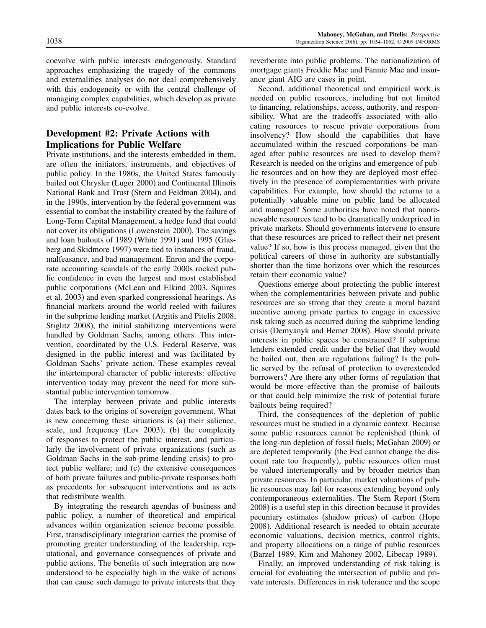approaches emphasizing the tragedy of the commons and externalities analyses do not deal comprehensively with this endogeneity or with the central challenge of managing complex capabilities, which develop as private and public interests co-evolve.

## Development #2: Private Actions with Implications for Public Welfare

Private institutions, and the interests embedded in them, are often the initiators, instruments, and objectives of public policy. In the 1980s, the United States famously bailed out Chrysler (Luger 2000) and Continental Illinois National Bank and Trust (Stern and Feldman 2004), and in the 1990s, intervention by the federal government was essential to combat the instability created by the failure of Long-Term Capital Management, a hedge fund that could not cover its obligations (Lowenstein 2000). The savings and loan bailouts of 1989 (White 1991) and 1995 (Glasberg and Skidmore 1997) were tied to instances of fraud, malfeasance, and bad management. Enron and the corporate accounting scandals of the early 2000s rocked public confidence in even the largest and most established public corporations (McLean and Elkind 2003, Squires et al. 2003) and even sparked congressional hearings. As financial markets around the world reeled with failures in the subprime lending market (Argitis and Pitelis 2008, Stiglitz 2008), the initial stabilizing interventions were handled by Goldman Sachs, among others. This intervention, coordinated by the U.S. Federal Reserve, was designed in the public interest and was facilitated by Goldman Sachs' private action. These examples reveal the intertemporal character of public interests: effective intervention today may prevent the need for more substantial public intervention tomorrow.

The interplay between private and public interests dates back to the origins of sovereign government. What is new concerning these situations is (a) their salience, scale, and frequency (Lev 2003); (b) the complexity of responses to protect the public interest, and particularly the involvement of private organizations (such as Goldman Sachs in the sub-prime lending crisis) to protect public welfare; and (c) the extensive consequences of both private failures and public-private responses both as precedents for subsequent interventions and as acts that redistribute wealth.

By integrating the research agendas of business and public policy, a number of theoretical and empirical advances within organization science become possible. First, transdisciplinary integration carries the promise of promoting greater understanding of the leadership, reputational, and governance consequences of private and public actions. The benefits of such integration are now understood to be especially high in the wake of actions that can cause such damage to private interests that they

reverberate into public problems. The nationalization of mortgage giants Freddie Mac and Fannie Mae and insurance giant AIG are cases in point.

Second, additional theoretical and empirical work is needed on public resources, including but not limited to financing, relationships, access, authority, and responsibility. What are the tradeoffs associated with allocating resources to rescue private corporations from insolvency? How should the capabilities that have accumulated within the rescued corporations be managed after public resources are used to develop them? Research is needed on the origins and emergence of public resources and on how they are deployed most effectively in the presence of complementarities with private capabilities. For example, how should the returns to a potentially valuable mine on public land be allocated and managed? Some authorities have noted that nonrenewable resources tend to be dramatically underpriced in private markets. Should governments intervene to ensure that these resources are priced to reflect their net present value? If so, how is this process managed, given that the political careers of those in authority are substantially shorter than the time horizons over which the resources retain their economic value?

Questions emerge about protecting the public interest when the complementarities between private and public resources are so strong that they create a moral hazard incentive among private parties to engage in excessive risk taking such as occurred during the subprime lending crisis (Demyanyk and Hemet 2008). How should private interests in public spaces be constrained? If subprime lenders extended credit under the belief that they would be bailed out, then are regulations failing? Is the public served by the refusal of protection to overextended borrowers? Are there any other forms of regulation that would be more effective than the promise of bailouts or that could help minimize the risk of potential future bailouts being required?

Third, the consequences of the depletion of public resources must be studied in a dynamic context. Because some public resources cannot be replenished (think of the long-run depletion of fossil fuels; McGahan 2009) or are depleted temporarily (the Fed cannot change the discount rate too frequently), public resources often must be valued intertemporally and by broader metrics than private resources. In particular, market valuations of public resources may fail for reasons extending beyond only contemporaneous externalities. The Stern Report (Stern 2008) is a useful step in this direction because it provides pecuniary estimates (shadow prices) of carbon (Hope 2008). Additional research is needed to obtain accurate economic valuations, decision metrics, control rights, and property allocations on a range of public resources (Barzel 1989, Kim and Mahoney 2002, Libecap 1989).

Finally, an improved understanding of risk taking is crucial for evaluating the intersection of public and private interests. Differences in risk tolerance and the scope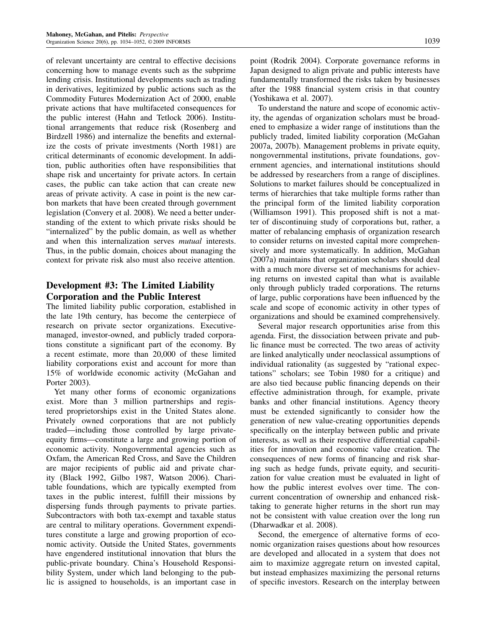of relevant uncertainty are central to effective decisions concerning how to manage events such as the subprime lending crisis. Institutional developments such as trading in derivatives, legitimized by public actions such as the Commodity Futures Modernization Act of 2000, enable private actions that have multifaceted consequences for the public interest (Hahn and Tetlock 2006). Institutional arrangements that reduce risk (Rosenberg and Birdzell 1986) and internalize the benefits and externalize the costs of private investments (North 1981) are critical determinants of economic development. In addition, public authorities often have responsibilities that shape risk and uncertainty for private actors. In certain cases, the public can take action that can create new areas of private activity. A case in point is the new carbon markets that have been created through government legislation (Convery et al. 2008). We need a better understanding of the extent to which private risks should be "internalized" by the public domain, as well as whether and when this internalization serves mutual interests. Thus, in the public domain, choices about managing the context for private risk also must also receive attention.

## Development #3: The Limited Liability Corporation and the Public Interest

The limited liability public corporation, established in the late 19th century, has become the centerpiece of research on private sector organizations. Executivemanaged, investor-owned, and publicly traded corporations constitute a significant part of the economy. By a recent estimate, more than 20,000 of these limited liability corporations exist and account for more than 15% of worldwide economic activity (McGahan and Porter 2003).

Yet many other forms of economic organizations exist. More than 3 million partnerships and registered proprietorships exist in the United States alone. Privately owned corporations that are not publicly traded—including those controlled by large privateequity firms—constitute a large and growing portion of economic activity. Nongovernmental agencies such as Oxfam, the American Red Cross, and Save the Children are major recipients of public aid and private charity (Black 1992, Gilbo 1987, Watson 2006). Charitable foundations, which are typically exempted from taxes in the public interest, fulfill their missions by dispersing funds through payments to private parties. Subcontractors with both tax-exempt and taxable status are central to military operations. Government expenditures constitute a large and growing proportion of economic activity. Outside the United States, governments have engendered institutional innovation that blurs the public-private boundary. China's Household Responsibility System, under which land belonging to the public is assigned to households, is an important case in

point (Rodrik 2004). Corporate governance reforms in Japan designed to align private and public interests have fundamentally transformed the risks taken by businesses after the 1988 financial system crisis in that country (Yoshikawa et al. 2007).

To understand the nature and scope of economic activity, the agendas of organization scholars must be broadened to emphasize a wider range of institutions than the publicly traded, limited liability corporation (McGahan 2007a, 2007b). Management problems in private equity, nongovernmental institutions, private foundations, government agencies, and international institutions should be addressed by researchers from a range of disciplines. Solutions to market failures should be conceptualized in terms of hierarchies that take multiple forms rather than the principal form of the limited liability corporation (Williamson 1991). This proposed shift is not a matter of discontinuing study of corporations but, rather, a matter of rebalancing emphasis of organization research to consider returns on invested capital more comprehensively and more systematically. In addition, McGahan (2007a) maintains that organization scholars should deal with a much more diverse set of mechanisms for achieving returns on invested capital than what is available only through publicly traded corporations. The returns of large, public corporations have been influenced by the scale and scope of economic activity in other types of organizations and should be examined comprehensively.

Several major research opportunities arise from this agenda. First, the dissociation between private and public finance must be corrected. The two areas of activity are linked analytically under neoclassical assumptions of individual rationality (as suggested by "rational expectations" scholars; see Tobin 1980 for a critique) and are also tied because public financing depends on their effective administration through, for example, private banks and other financial institutions. Agency theory must be extended significantly to consider how the generation of new value-creating opportunities depends specifically on the interplay between public and private interests, as well as their respective differential capabilities for innovation and economic value creation. The consequences of new forms of financing and risk sharing such as hedge funds, private equity, and securitization for value creation must be evaluated in light of how the public interest evolves over time. The concurrent concentration of ownership and enhanced risktaking to generate higher returns in the short run may not be consistent with value creation over the long run (Dharwadkar et al. 2008).

Second, the emergence of alternative forms of economic organization raises questions about how resources are developed and allocated in a system that does not aim to maximize aggregate return on invested capital, but instead emphasizes maximizing the personal returns of specific investors. Research on the interplay between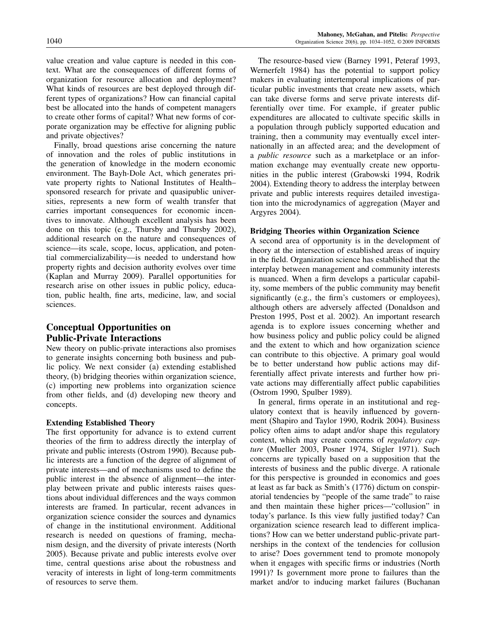value creation and value capture is needed in this context. What are the consequences of different forms of organization for resource allocation and deployment? What kinds of resources are best deployed through different types of organizations? How can financial capital best be allocated into the hands of competent managers to create other forms of capital? What new forms of corporate organization may be effective for aligning public and private objectives?

Finally, broad questions arise concerning the nature of innovation and the roles of public institutions in the generation of knowledge in the modern economic environment. The Bayh-Dole Act, which generates private property rights to National Institutes of Health– sponsored research for private and quasipublic universities, represents a new form of wealth transfer that carries important consequences for economic incentives to innovate. Although excellent analysis has been done on this topic (e.g., Thursby and Thursby 2002), additional research on the nature and consequences of science—its scale, scope, locus, application, and potential commercializability—is needed to understand how property rights and decision authority evolves over time (Kaplan and Murray 2009). Parallel opportunities for research arise on other issues in public policy, education, public health, fine arts, medicine, law, and social sciences.

## Conceptual Opportunities on Public-Private Interactions

New theory on public-private interactions also promises to generate insights concerning both business and public policy. We next consider (a) extending established theory, (b) bridging theories within organization science, (c) importing new problems into organization science from other fields, and (d) developing new theory and concepts.

## Extending Established Theory

The first opportunity for advance is to extend current theories of the firm to address directly the interplay of private and public interests (Ostrom 1990). Because public interests are a function of the degree of alignment of private interests—and of mechanisms used to define the public interest in the absence of alignment—the interplay between private and public interests raises questions about individual differences and the ways common interests are framed. In particular, recent advances in organization science consider the sources and dynamics of change in the institutional environment. Additional research is needed on questions of framing, mechanism design, and the diversity of private interests (North 2005). Because private and public interests evolve over time, central questions arise about the robustness and veracity of interests in light of long-term commitments of resources to serve them.

The resource-based view (Barney 1991, Peteraf 1993, Wernerfelt 1984) has the potential to support policy makers in evaluating intertemporal implications of particular public investments that create new assets, which can take diverse forms and serve private interests differentially over time. For example, if greater public expenditures are allocated to cultivate specific skills in a population through publicly supported education and training, then a community may eventually excel internationally in an affected area; and the development of a public resource such as a marketplace or an information exchange may eventually create new opportunities in the public interest (Grabowski 1994, Rodrik 2004). Extending theory to address the interplay between private and public interests requires detailed investigation into the microdynamics of aggregation (Mayer and Argyres 2004).

## Bridging Theories within Organization Science

A second area of opportunity is in the development of theory at the intersection of established areas of inquiry in the field. Organization science has established that the interplay between management and community interests is nuanced. When a firm develops a particular capability, some members of the public community may benefit significantly (e.g., the firm's customers or employees), although others are adversely affected (Donaldson and Preston 1995, Post et al. 2002). An important research agenda is to explore issues concerning whether and how business policy and public policy could be aligned and the extent to which and how organization science can contribute to this objective. A primary goal would be to better understand how public actions may differentially affect private interests and further how private actions may differentially affect public capabilities (Ostrom 1990, Spulber 1989).

In general, firms operate in an institutional and regulatory context that is heavily influenced by government (Shapiro and Taylor 1990, Rodrik 2004). Business policy often aims to adapt and/or shape this regulatory context, which may create concerns of regulatory capture (Mueller 2003, Posner 1974, Stigler 1971). Such concerns are typically based on a supposition that the interests of business and the public diverge. A rationale for this perspective is grounded in economics and goes at least as far back as Smith's (1776) dictum on conspiratorial tendencies by "people of the same trade" to raise and then maintain these higher prices—"collusion" in today's parlance. Is this view fully justified today? Can organization science research lead to different implications? How can we better understand public-private partnerships in the context of the tendencies for collusion to arise? Does government tend to promote monopoly when it engages with specific firms or industries (North 1991)? Is government more prone to failures than the market and/or to inducing market failures (Buchanan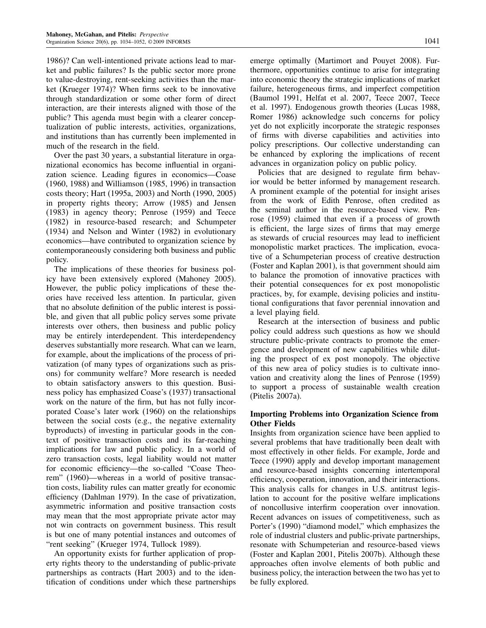1986)? Can well-intentioned private actions lead to market and public failures? Is the public sector more prone to value-destroying, rent-seeking activities than the market (Krueger 1974)? When firms seek to be innovative through standardization or some other form of direct interaction, are their interests aligned with those of the public? This agenda must begin with a clearer conceptualization of public interests, activities, organizations, and institutions than has currently been implemented in much of the research in the field.

Over the past 30 years, a substantial literature in organizational economics has become influential in organization science. Leading figures in economics—Coase (1960, 1988) and Williamson (1985, 1996) in transaction costs theory; Hart (1995a, 2003) and North (1990, 2005) in property rights theory; Arrow (1985) and Jensen (1983) in agency theory; Penrose (1959) and Teece (1982) in resource-based research; and Schumpeter (1934) and Nelson and Winter (1982) in evolutionary economics—have contributed to organization science by contemporaneously considering both business and public policy.

The implications of these theories for business policy have been extensively explored (Mahoney 2005). However, the public policy implications of these theories have received less attention. In particular, given that no absolute definition of the public interest is possible, and given that all public policy serves some private interests over others, then business and public policy may be entirely interdependent. This interdependency deserves substantially more research. What can we learn, for example, about the implications of the process of privatization (of many types of organizations such as prisons) for community welfare? More research is needed to obtain satisfactory answers to this question. Business policy has emphasized Coase's (1937) transactional work on the nature of the firm, but has not fully incorporated Coase's later work (1960) on the relationships between the social costs (e.g., the negative externality byproducts) of investing in particular goods in the context of positive transaction costs and its far-reaching implications for law and public policy. In a world of zero transaction costs, legal liability would not matter for economic efficiency—the so-called "Coase Theorem" (1960)—whereas in a world of positive transaction costs, liability rules can matter greatly for economic efficiency (Dahlman 1979). In the case of privatization, asymmetric information and positive transaction costs may mean that the most appropriate private actor may not win contracts on government business. This result is but one of many potential instances and outcomes of "rent seeking" (Krueger 1974, Tullock 1989).

An opportunity exists for further application of property rights theory to the understanding of public-private partnerships as contracts (Hart 2003) and to the identification of conditions under which these partnerships emerge optimally (Martimort and Pouyet 2008). Furthermore, opportunities continue to arise for integrating into economic theory the strategic implications of market failure, heterogeneous firms, and imperfect competition (Baumol 1991, Helfat et al. 2007, Teece 2007, Teece et al. 1997). Endogenous growth theories (Lucas 1988, Romer 1986) acknowledge such concerns for policy yet do not explicitly incorporate the strategic responses of firms with diverse capabilities and activities into policy prescriptions. Our collective understanding can be enhanced by exploring the implications of recent advances in organization policy on public policy.

Policies that are designed to regulate firm behavior would be better informed by management research. A prominent example of the potential for insight arises from the work of Edith Penrose, often credited as the seminal author in the resource-based view. Penrose (1959) claimed that even if a process of growth is efficient, the large sizes of firms that may emerge as stewards of crucial resources may lead to inefficient monopolistic market practices. The implication, evocative of a Schumpeterian process of creative destruction (Foster and Kaplan 2001), is that government should aim to balance the promotion of innovative practices with their potential consequences for ex post monopolistic practices, by, for example, devising policies and institutional configurations that favor perennial innovation and a level playing field.

Research at the intersection of business and public policy could address such questions as how we should structure public-private contracts to promote the emergence and development of new capabilities while diluting the prospect of ex post monopoly. The objective of this new area of policy studies is to cultivate innovation and creativity along the lines of Penrose (1959) to support a process of sustainable wealth creation (Pitelis 2007a).

## Importing Problems into Organization Science from Other Fields

Insights from organization science have been applied to several problems that have traditionally been dealt with most effectively in other fields. For example, Jorde and Teece (1990) apply and develop important management and resource-based insights concerning intertemporal efficiency, cooperation, innovation, and their interactions. This analysis calls for changes in U.S. antitrust legislation to account for the positive welfare implications of noncollusive interfirm cooperation over innovation. Recent advances on issues of competitiveness, such as Porter's (1990) "diamond model," which emphasizes the role of industrial clusters and public-private partnerships, resonate with Schumpeterian and resource-based views (Foster and Kaplan 2001, Pitelis 2007b). Although these approaches often involve elements of both public and business policy, the interaction between the two has yet to be fully explored.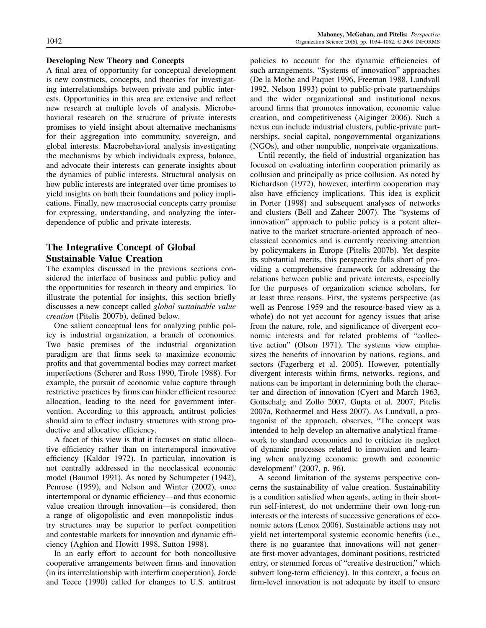#### Developing New Theory and Concepts

A final area of opportunity for conceptual development is new constructs, concepts, and theories for investigating interrelationships between private and public interests. Opportunities in this area are extensive and reflect new research at multiple levels of analysis. Microbehavioral research on the structure of private interests promises to yield insight about alternative mechanisms for their aggregation into community, sovereign, and global interests. Macrobehavioral analysis investigating the mechanisms by which individuals express, balance, and advocate their interests can generate insights about the dynamics of public interests. Structural analysis on how public interests are integrated over time promises to yield insights on both their foundations and policy implications. Finally, new macrosocial concepts carry promise for expressing, understanding, and analyzing the interdependence of public and private interests.

## The Integrative Concept of Global Sustainable Value Creation

The examples discussed in the previous sections considered the interface of business and public policy and the opportunities for research in theory and empirics. To illustrate the potential for insights, this section briefly discusses a new concept called global sustainable value creation (Pitelis 2007b), defined below.

One salient conceptual lens for analyzing public policy is industrial organization, a branch of economics. Two basic premises of the industrial organization paradigm are that firms seek to maximize economic profits and that governmental bodies may correct market imperfections (Scherer and Ross 1990, Tirole 1988). For example, the pursuit of economic value capture through restrictive practices by firms can hinder efficient resource allocation, leading to the need for government intervention. According to this approach, antitrust policies should aim to effect industry structures with strong productive and allocative efficiency.

A facet of this view is that it focuses on static allocative efficiency rather than on intertemporal innovative efficiency (Kaldor 1972). In particular, innovation is not centrally addressed in the neoclassical economic model (Baumol 1991). As noted by Schumpeter (1942), Penrose (1959), and Nelson and Winter (2002), once intertemporal or dynamic efficiency—and thus economic value creation through innovation—is considered, then a range of oligopolistic and even monopolistic industry structures may be superior to perfect competition and contestable markets for innovation and dynamic efficiency (Aghion and Howitt 1998, Sutton 1998).

In an early effort to account for both noncollusive cooperative arrangements between firms and innovation (in its interrelationship with interfirm cooperation), Jorde and Teece (1990) called for changes to U.S. antitrust policies to account for the dynamic efficiencies of such arrangements. "Systems of innovation" approaches (De la Mothe and Paquet 1996, Freeman 1988, Lundvall 1992, Nelson 1993) point to public-private partnerships and the wider organizational and institutional nexus around firms that promotes innovation, economic value creation, and competitiveness (Aiginger 2006). Such a nexus can include industrial clusters, public-private partnerships, social capital, nongovernmental organizations (NGOs), and other nonpublic, nonprivate organizations.

Until recently, the field of industrial organization has focused on evaluating interfirm cooperation primarily as collusion and principally as price collusion. As noted by Richardson (1972), however, interfirm cooperation may also have efficiency implications. This idea is explicit in Porter (1998) and subsequent analyses of networks and clusters (Bell and Zaheer 2007). The "systems of innovation" approach to public policy is a potent alternative to the market structure-oriented approach of neoclassical economics and is currently receiving attention by policymakers in Europe (Pitelis 2007b). Yet despite its substantial merits, this perspective falls short of providing a comprehensive framework for addressing the relations between public and private interests, especially for the purposes of organization science scholars, for at least three reasons. First, the systems perspective (as well as Penrose 1959 and the resource-based view as a whole) do not yet account for agency issues that arise from the nature, role, and significance of divergent economic interests and for related problems of "collective action" (Olson 1971). The systems view emphasizes the benefits of innovation by nations, regions, and sectors (Fagerberg et al. 2005). However, potentially divergent interests within firms, networks, regions, and nations can be important in determining both the character and direction of innovation (Cyert and March 1963, Gottschalg and Zollo 2007, Gupta et al. 2007, Pitelis 2007a, Rothaermel and Hess 2007). As Lundvall, a protagonist of the approach, observes, "The concept was intended to help develop an alternative analytical framework to standard economics and to criticize its neglect of dynamic processes related to innovation and learning when analyzing economic growth and economic development" (2007, p. 96).

A second limitation of the systems perspective concerns the sustainability of value creation. Sustainability is a condition satisfied when agents, acting in their shortrun self-interest, do not undermine their own long-run interests or the interests of successive generations of economic actors (Lenox 2006). Sustainable actions may not yield net intertemporal systemic economic benefits (i.e., there is no guarantee that innovations will not generate first-mover advantages, dominant positions, restricted entry, or stemmed forces of "creative destruction," which subvert long-term efficiency). In this context, a focus on firm-level innovation is not adequate by itself to ensure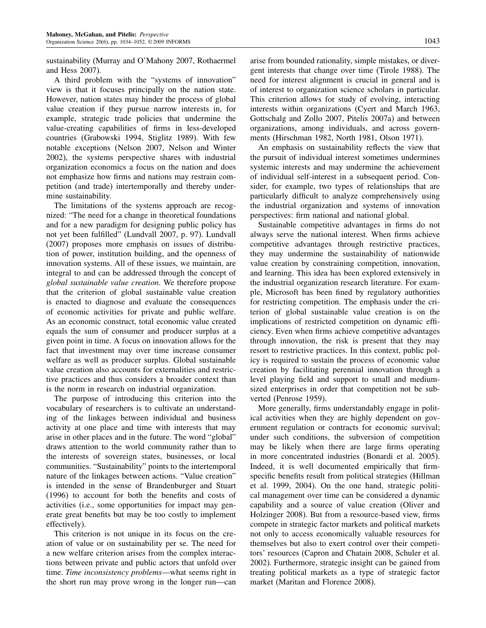sustainability (Murray and O'Mahony 2007, Rothaermel and Hess 2007).

A third problem with the "systems of innovation" view is that it focuses principally on the nation state. However, nation states may hinder the process of global value creation if they pursue narrow interests in, for example, strategic trade policies that undermine the value-creating capabilities of firms in less-developed countries (Grabowski 1994, Stiglitz 1989). With few notable exceptions (Nelson 2007, Nelson and Winter 2002), the systems perspective shares with industrial organization economics a focus on the nation and does not emphasize how firms and nations may restrain competition (and trade) intertemporally and thereby undermine sustainability.

The limitations of the systems approach are recognized: "The need for a change in theoretical foundations and for a new paradigm for designing public policy has not yet been fulfilled" (Lundvall 2007, p. 97). Lundvall (2007) proposes more emphasis on issues of distribution of power, institution building, and the openness of innovation systems. All of these issues, we maintain, are integral to and can be addressed through the concept of global sustainable value creation. We therefore propose that the criterion of global sustainable value creation is enacted to diagnose and evaluate the consequences of economic activities for private and public welfare. As an economic construct, total economic value created equals the sum of consumer and producer surplus at a given point in time. A focus on innovation allows for the fact that investment may over time increase consumer welfare as well as producer surplus. Global sustainable value creation also accounts for externalities and restrictive practices and thus considers a broader context than is the norm in research on industrial organization.

The purpose of introducing this criterion into the vocabulary of researchers is to cultivate an understanding of the linkages between individual and business activity at one place and time with interests that may arise in other places and in the future. The word "global" draws attention to the world community rather than to the interests of sovereign states, businesses, or local communities. "Sustainability" points to the intertemporal nature of the linkages between actions. "Value creation" is intended in the sense of Brandenburger and Stuart (1996) to account for both the benefits and costs of activities (i.e., some opportunities for impact may generate great benefits but may be too costly to implement effectively).

This criterion is not unique in its focus on the creation of value or on sustainability per se. The need for a new welfare criterion arises from the complex interactions between private and public actors that unfold over time. Time inconsistency problems—what seems right in the short run may prove wrong in the longer run—can arise from bounded rationality, simple mistakes, or divergent interests that change over time (Tirole 1988). The need for interest alignment is crucial in general and is of interest to organization science scholars in particular. This criterion allows for study of evolving, interacting interests within organizations (Cyert and March 1963, Gottschalg and Zollo 2007, Pitelis 2007a) and between organizations, among individuals, and across governments (Hirschman 1982, North 1981, Olson 1971).

An emphasis on sustainability reflects the view that the pursuit of individual interest sometimes undermines systemic interests and may undermine the achievement of individual self-interest in a subsequent period. Consider, for example, two types of relationships that are particularly difficult to analyze comprehensively using the industrial organization and systems of innovation perspectives: firm national and national global.

Sustainable competitive advantages in firms do not always serve the national interest. When firms achieve competitive advantages through restrictive practices, they may undermine the sustainability of nationwide value creation by constraining competition, innovation, and learning. This idea has been explored extensively in the industrial organization research literature. For example, Microsoft has been fined by regulatory authorities for restricting competition. The emphasis under the criterion of global sustainable value creation is on the implications of restricted competition on dynamic efficiency. Even when firms achieve competitive advantages through innovation, the risk is present that they may resort to restrictive practices. In this context, public policy is required to sustain the process of economic value creation by facilitating perennial innovation through a level playing field and support to small and mediumsized enterprises in order that competition not be subverted (Penrose 1959).

More generally, firms understandably engage in political activities when they are highly dependent on government regulation or contracts for economic survival; under such conditions, the subversion of competition may be likely when there are large firms operating in more concentrated industries (Bonardi et al. 2005). Indeed, it is well documented empirically that firmspecific benefits result from political strategies (Hillman et al. 1999, 2004). On the one hand, strategic political management over time can be considered a dynamic capability and a source of value creation (Oliver and Holzinger 2008). But from a resource-based view, firms compete in strategic factor markets and political markets not only to access economically valuable resources for themselves but also to exert control over their competitors' resources (Capron and Chatain 2008, Schuler et al. 2002). Furthermore, strategic insight can be gained from treating political markets as a type of strategic factor market (Maritan and Florence 2008).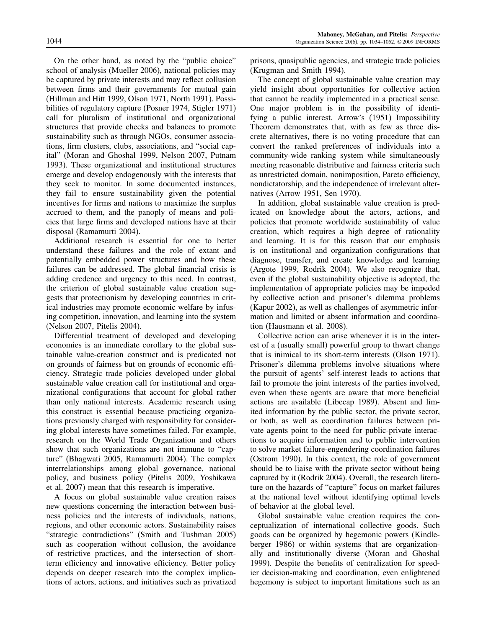On the other hand, as noted by the "public choice" school of analysis (Mueller 2006), national policies may be captured by private interests and may reflect collusion between firms and their governments for mutual gain (Hillman and Hitt 1999, Olson 1971, North 1991). Possibilities of regulatory capture (Posner 1974, Stigler 1971) call for pluralism of institutional and organizational structures that provide checks and balances to promote sustainability such as through NGOs, consumer associations, firm clusters, clubs, associations, and "social capital" (Moran and Ghoshal 1999, Nelson 2007, Putnam 1993). These organizational and institutional structures emerge and develop endogenously with the interests that they seek to monitor. In some documented instances, they fail to ensure sustainability given the potential incentives for firms and nations to maximize the surplus accrued to them, and the panoply of means and policies that large firms and developed nations have at their disposal (Ramamurti 2004).

Additional research is essential for one to better understand these failures and the role of extant and potentially embedded power structures and how these failures can be addressed. The global financial crisis is adding credence and urgency to this need. In contrast, the criterion of global sustainable value creation suggests that protectionism by developing countries in critical industries may promote economic welfare by infusing competition, innovation, and learning into the system (Nelson 2007, Pitelis 2004).

Differential treatment of developed and developing economies is an immediate corollary to the global sustainable value-creation construct and is predicated not on grounds of fairness but on grounds of economic efficiency. Strategic trade policies developed under global sustainable value creation call for institutional and organizational configurations that account for global rather than only national interests. Academic research using this construct is essential because practicing organizations previously charged with responsibility for considering global interests have sometimes failed. For example, research on the World Trade Organization and others show that such organizations are not immune to "capture" (Bhagwati 2005, Ramamurti 2004). The complex interrelationships among global governance, national policy, and business policy (Pitelis 2009, Yoshikawa et al. 2007) mean that this research is imperative.

A focus on global sustainable value creation raises new questions concerning the interaction between business policies and the interests of individuals, nations, regions, and other economic actors. Sustainability raises "strategic contradictions" (Smith and Tushman 2005) such as cooperation without collusion, the avoidance of restrictive practices, and the intersection of shortterm efficiency and innovative efficiency. Better policy depends on deeper research into the complex implications of actors, actions, and initiatives such as privatized

prisons, quasipublic agencies, and strategic trade policies (Krugman and Smith 1994).

The concept of global sustainable value creation may yield insight about opportunities for collective action that cannot be readily implemented in a practical sense. One major problem is in the possibility of identifying a public interest. Arrow's (1951) Impossibility Theorem demonstrates that, with as few as three discrete alternatives, there is no voting procedure that can convert the ranked preferences of individuals into a community-wide ranking system while simultaneously meeting reasonable distributive and fairness criteria such as unrestricted domain, nonimposition, Pareto efficiency, nondictatorship, and the independence of irrelevant alternatives (Arrow 1951, Sen 1970).

In addition, global sustainable value creation is predicated on knowledge about the actors, actions, and policies that promote worldwide sustainability of value creation, which requires a high degree of rationality and learning. It is for this reason that our emphasis is on institutional and organization configurations that diagnose, transfer, and create knowledge and learning (Argote 1999, Rodrik 2004). We also recognize that, even if the global sustainability objective is adopted, the implementation of appropriate policies may be impeded by collective action and prisoner's dilemma problems (Kapur 2002), as well as challenges of asymmetric information and limited or absent information and coordination (Hausmann et al. 2008).

Collective action can arise whenever it is in the interest of a (usually small) powerful group to thwart change that is inimical to its short-term interests (Olson 1971). Prisoner's dilemma problems involve situations where the pursuit of agents' self-interest leads to actions that fail to promote the joint interests of the parties involved, even when these agents are aware that more beneficial actions are available (Libecap 1989). Absent and limited information by the public sector, the private sector, or both, as well as coordination failures between private agents point to the need for public-private interactions to acquire information and to public intervention to solve market failure-engendering coordination failures (Ostrom 1990). In this context, the role of government should be to liaise with the private sector without being captured by it (Rodrik 2004). Overall, the research literature on the hazards of "capture" focus on market failures at the national level without identifying optimal levels of behavior at the global level.

Global sustainable value creation requires the conceptualization of international collective goods. Such goods can be organized by hegemonic powers (Kindleberger 1986) or within systems that are organizationally and institutionally diverse (Moran and Ghoshal 1999). Despite the benefits of centralization for speedier decision-making and coordination, even enlightened hegemony is subject to important limitations such as an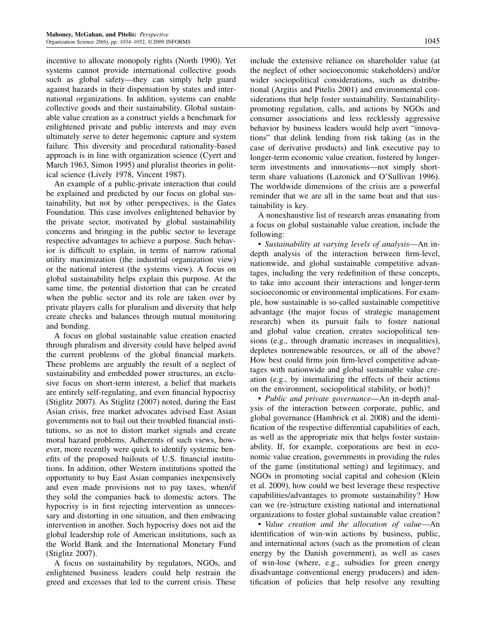incentive to allocate monopoly rights (North 1990). Yet systems cannot provide international collective goods such as global safety—they can simply help guard against hazards in their dispensation by states and international organizations. In addition, systems can enable collective goods and their sustainability. Global sustainable value creation as a construct yields a benchmark for enlightened private and public interests and may even ultimately serve to deter hegemonic capture and system failure. This diversity and procedural rationality-based approach is in line with organization science (Cyert and March 1963, Simon 1995) and pluralist theories in political science (Lively 1978, Vincent 1987).

An example of a public-private interaction that could be explained and predicted by our focus on global sustainability, but not by other perspectives, is the Gates Foundation. This case involves enlightened behavior by the private sector, motivated by global sustainability concerns and bringing in the public sector to leverage respective advantages to achieve a purpose. Such behavior is difficult to explain, in terms of narrow rational utility maximization (the industrial organization view) or the national interest (the systems view). A focus on global sustainability helps explain this purpose. At the same time, the potential distortion that can be created when the public sector and its role are taken over by private players calls for pluralism and diversity that help create checks and balances through mutual monitoring and bonding.

A focus on global sustainable value creation enacted through pluralism and diversity could have helped avoid the current problems of the global financial markets. These problems are arguably the result of a neglect of sustainability and embedded power structures, an exclusive focus on short-term interest, a belief that markets are entirely self-regulating, and even financial hypocrisy (Stiglitz 2007). As Stiglitz (2007) noted, during the East Asian crisis, free market advocates advised East Asian governments not to bail out their troubled financial institutions, so as not to distort market signals and create moral hazard problems. Adherents of such views, however, more recently were quick to identify systemic benefits of the proposed bailouts of U.S. financial institutions. In addition, other Western institutions spotted the opportunity to buy East Asian companies inexpensively and even made provisions not to pay taxes, when/if they sold the companies back to domestic actors. The hypocrisy is in first rejecting intervention as unnecessary and distorting in one situation, and then embracing intervention in another. Such hypocrisy does not aid the global leadership role of American institutions, such as the World Bank and the International Monetary Fund (Stiglitz 2007).

A focus on sustainability by regulators, NGOs, and enlightened business leaders could help restrain the greed and excesses that led to the current crisis. These include the extensive reliance on shareholder value (at the neglect of other socioeconomic stakeholders) and/or wider sociopolitical considerations, such as distributional (Argitis and Pitelis 2001) and environmental considerations that help foster sustainability. Sustainabilitypromoting regulation, calls, and actions by NGOs and consumer associations and less recklessly aggressive behavior by business leaders would help avert "innovations" that delink lending from risk taking (as in the case of derivative products) and link executive pay to longer-term economic value creation, fostered by longerterm investments and innovations—not simply shortterm share valuations (Lazonick and O'Sullivan 1996). The worldwide dimensions of the crisis are a powerful reminder that we are all in the same boat and that sustainability is key.

A nonexhaustive list of research areas emanating from a focus on global sustainable value creation, include the following:

• Sustainability at varying levels of analysis—An indepth analysis of the interaction between firm-level, nationwide, and global sustainable competitive advantages, including the very redefinition of these concepts, to take into account their interactions and longer-term socioeconomic or environmental implications. For example, how sustainable is so-called sustainable competitive advantage (the major focus of strategic management research) when its pursuit fails to foster national and global value creation, creates sociopolitical tensions (e.g., through dramatic increases in inequalities), depletes nonrenewable resources, or all of the above? How best could firms join firm-level competitive advantages with nationwide and global sustainable value creation (e.g., by internalizing the effects of their actions on the environment, sociopolitical stability, or both)?

• *Public and private governance*—An in-depth analysis of the interaction between corporate, public, and global governance (Hambrick et al. 2008) and the identification of the respective differential capabilities of each, as well as the appropriate mix that helps foster sustainability. If, for example, corporations are best in economic value creation, governments in providing the rules of the game (institutional setting) and legitimacy, and NGOs in promoting social capital and cohesion (Klein et al. 2009), how could we best leverage these respective capabilities/advantages to promote sustainability? How can we (re-)structure existing national and international organizations to foster global sustainable value creation?

• Value creation and the allocation of value—An identification of win-win actions by business, public, and international actors (such as the promotion of clean energy by the Danish government), as well as cases of win-lose (where, e.g., subsidies for green energy disadvantage conventional energy producers) and identification of policies that help resolve any resulting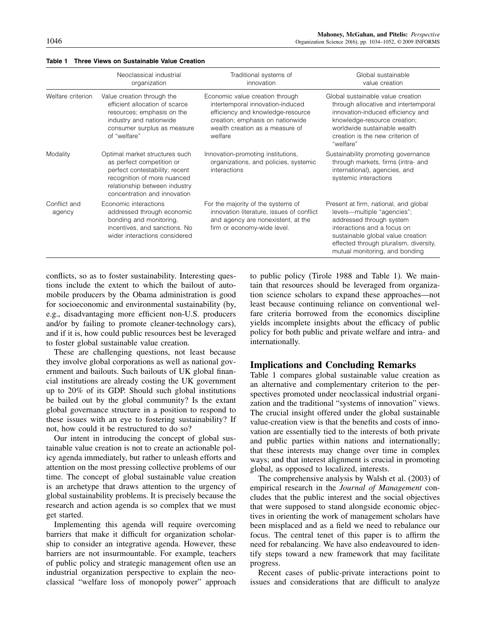|                        | Neoclassical industrial<br>organization                                                                                                                                                       | Traditional systems of<br>innovation                                                                                                                                                       | Global sustainable<br>value creation                                                                                                                                                                                                             |
|------------------------|-----------------------------------------------------------------------------------------------------------------------------------------------------------------------------------------------|--------------------------------------------------------------------------------------------------------------------------------------------------------------------------------------------|--------------------------------------------------------------------------------------------------------------------------------------------------------------------------------------------------------------------------------------------------|
| Welfare criterion      | Value creation through the<br>efficient allocation of scarce<br>resources; emphasis on the<br>industry and nationwide<br>consumer surplus as measure<br>of "welfare"                          | Economic value creation through<br>intertemporal innovation-induced<br>efficiency and knowledge-resource<br>creation; emphasis on nationwide<br>wealth creation as a measure of<br>welfare | Global sustainable value creation<br>through allocative and intertemporal<br>innovation-induced efficiency and<br>knowledge-resource creation;<br>worldwide sustainable wealth<br>creation is the new criterion of<br>"welfare"                  |
| Modality               | Optimal market structures such<br>as perfect competition or<br>perfect contestability; recent<br>recognition of more nuanced<br>relationship between industry<br>concentration and innovation | Innovation-promoting institutions,<br>organizations, and policies, systemic<br>interactions                                                                                                | Sustainability promoting governance<br>through markets, firms (intra- and<br>international), agencies, and<br>systemic interactions                                                                                                              |
| Conflict and<br>agency | Economic interactions<br>addressed through economic<br>bonding and monitoring,<br>incentives, and sanctions. No<br>wider interactions considered                                              | For the majority of the systems of<br>innovation literature, issues of conflict<br>and agency are nonexistent, at the<br>firm or economy-wide level.                                       | Present at firm, national, and global<br>levels—multiple "agencies";<br>addressed through system<br>interactions and a focus on<br>sustainable global value creation<br>effected through pluralism, diversity,<br>mutual monitoring, and bonding |

#### Table 1 Three Views on Sustainable Value Creation

conflicts, so as to foster sustainability. Interesting questions include the extent to which the bailout of automobile producers by the Obama administration is good for socioeconomic and environmental sustainability (by, e.g., disadvantaging more efficient non-U.S. producers and/or by failing to promote cleaner-technology cars), and if it is, how could public resources best be leveraged to foster global sustainable value creation.

These are challenging questions, not least because they involve global corporations as well as national government and bailouts. Such bailouts of UK global financial institutions are already costing the UK government up to 20% of its GDP. Should such global institutions be bailed out by the global community? Is the extant global governance structure in a position to respond to these issues with an eye to fostering sustainability? If not, how could it be restructured to do so?

Our intent in introducing the concept of global sustainable value creation is not to create an actionable policy agenda immediately, but rather to unleash efforts and attention on the most pressing collective problems of our time. The concept of global sustainable value creation is an archetype that draws attention to the urgency of global sustainability problems. It is precisely because the research and action agenda is so complex that we must get started.

Implementing this agenda will require overcoming barriers that make it difficult for organization scholarship to consider an integrative agenda. However, these barriers are not insurmountable. For example, teachers of public policy and strategic management often use an industrial organization perspective to explain the neoclassical "welfare loss of monopoly power" approach

to public policy (Tirole 1988 and Table 1). We maintain that resources should be leveraged from organization science scholars to expand these approaches—not least because continuing reliance on conventional welfare criteria borrowed from the economics discipline yields incomplete insights about the efficacy of public policy for both public and private welfare and intra- and internationally.

#### Implications and Concluding Remarks

Table 1 compares global sustainable value creation as an alternative and complementary criterion to the perspectives promoted under neoclassical industrial organization and the traditional "systems of innovation" views. The crucial insight offered under the global sustainable value-creation view is that the benefits and costs of innovation are essentially tied to the interests of both private and public parties within nations and internationally; that these interests may change over time in complex ways; and that interest alignment is crucial in promoting global, as opposed to localized, interests.

The comprehensive analysis by Walsh et al. (2003) of empirical research in the Journal of Management concludes that the public interest and the social objectives that were supposed to stand alongside economic objectives in orienting the work of management scholars have been misplaced and as a field we need to rebalance our focus. The central tenet of this paper is to affirm the need for rebalancing. We have also endeavoured to identify steps toward a new framework that may facilitate progress.

Recent cases of public-private interactions point to issues and considerations that are difficult to analyze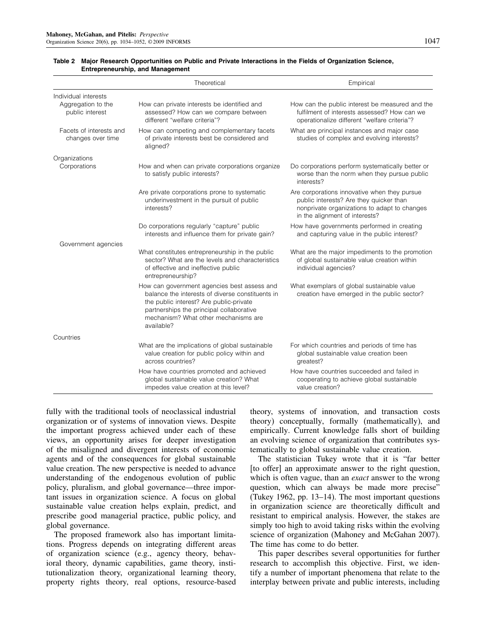|                                              | Theoretical                                                                                                                                                                                                                                  | Empirical                                                                                                                                                                 |
|----------------------------------------------|----------------------------------------------------------------------------------------------------------------------------------------------------------------------------------------------------------------------------------------------|---------------------------------------------------------------------------------------------------------------------------------------------------------------------------|
| Individual interests                         |                                                                                                                                                                                                                                              |                                                                                                                                                                           |
| Aggregation to the<br>public interest        | How can private interests be identified and<br>assessed? How can we compare between<br>different "welfare criteria"?                                                                                                                         | How can the public interest be measured and the<br>fulfilment of interests assessed? How can we<br>operationalize different "welfare criteria"?                           |
| Facets of interests and<br>changes over time | How can competing and complementary facets<br>of private interests best be considered and<br>aligned?                                                                                                                                        | What are principal instances and major case<br>studies of complex and evolving interests?                                                                                 |
| Organizations                                |                                                                                                                                                                                                                                              |                                                                                                                                                                           |
| Corporations                                 | How and when can private corporations organize<br>to satisfy public interests?                                                                                                                                                               | Do corporations perform systematically better or<br>worse than the norm when they pursue public<br>interests?                                                             |
|                                              | Are private corporations prone to systematic<br>underinvestment in the pursuit of public<br>interests?                                                                                                                                       | Are corporations innovative when they pursue<br>public interests? Are they quicker than<br>nonprivate organizations to adapt to changes<br>in the alignment of interests? |
|                                              | Do corporations regularly "capture" public<br>interests and influence them for private gain?                                                                                                                                                 | How have governments performed in creating<br>and capturing value in the public interest?                                                                                 |
| Government agencies                          |                                                                                                                                                                                                                                              |                                                                                                                                                                           |
|                                              | What constitutes entrepreneurship in the public<br>sector? What are the levels and characteristics<br>of effective and ineffective public<br>entrepreneurship?                                                                               | What are the major impediments to the promotion<br>of global sustainable value creation within<br>individual agencies?                                                    |
|                                              | How can government agencies best assess and<br>balance the interests of diverse constituents in<br>the public interest? Are public-private<br>partnerships the principal collaborative<br>mechanism? What other mechanisms are<br>available? | What exemplars of global sustainable value<br>creation have emerged in the public sector?                                                                                 |
| Countries                                    |                                                                                                                                                                                                                                              |                                                                                                                                                                           |
|                                              | What are the implications of global sustainable<br>value creation for public policy within and<br>across countries?                                                                                                                          | For which countries and periods of time has<br>global sustainable value creation been<br>greatest?                                                                        |
|                                              | How have countries promoted and achieved<br>global sustainable value creation? What<br>impedes value creation at this level?                                                                                                                 | How have countries succeeded and failed in<br>cooperating to achieve global sustainable<br>value creation?                                                                |

#### Table 2 Major Research Opportunities on Public and Private Interactions in the Fields of Organization Science, Entrepreneurship, and Management

fully with the traditional tools of neoclassical industrial organization or of systems of innovation views. Despite the important progress achieved under each of these views, an opportunity arises for deeper investigation of the misaligned and divergent interests of economic agents and of the consequences for global sustainable value creation. The new perspective is needed to advance understanding of the endogenous evolution of public policy, pluralism, and global governance—three important issues in organization science. A focus on global sustainable value creation helps explain, predict, and prescribe good managerial practice, public policy, and global governance.

The proposed framework also has important limitations. Progress depends on integrating different areas of organization science (e.g., agency theory, behavioral theory, dynamic capabilities, game theory, institutionalization theory, organizational learning theory, property rights theory, real options, resource-based

theory, systems of innovation, and transaction costs theory) conceptually, formally (mathematically), and empirically. Current knowledge falls short of building an evolving science of organization that contributes systematically to global sustainable value creation.

The statistician Tukey wrote that it is "far better [to offer] an approximate answer to the right question, which is often vague, than an *exact* answer to the wrong question, which can always be made more precise" (Tukey 1962, pp. 13–14). The most important questions in organization science are theoretically difficult and resistant to empirical analysis. However, the stakes are simply too high to avoid taking risks within the evolving science of organization (Mahoney and McGahan 2007). The time has come to do better.

This paper describes several opportunities for further research to accomplish this objective. First, we identify a number of important phenomena that relate to the interplay between private and public interests, including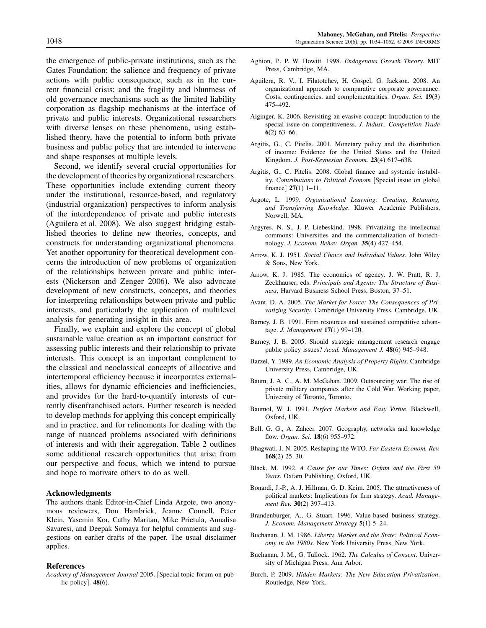the emergence of public-private institutions, such as the Gates Foundation; the salience and frequency of private actions with public consequence, such as in the current financial crisis; and the fragility and bluntness of old governance mechanisms such as the limited liability corporation as flagship mechanisms at the interface of private and public interests. Organizational researchers with diverse lenses on these phenomena, using established theory, have the potential to inform both private business and public policy that are intended to intervene and shape responses at multiple levels.

Second, we identify several crucial opportunities for the development of theories by organizational researchers. These opportunities include extending current theory under the institutional, resource-based, and regulatory (industrial organization) perspectives to inform analysis of the interdependence of private and public interests (Aguilera et al. 2008). We also suggest bridging established theories to define new theories, concepts, and constructs for understanding organizational phenomena. Yet another opportunity for theoretical development concerns the introduction of new problems of organization of the relationships between private and public interests (Nickerson and Zenger 2006). We also advocate development of new constructs, concepts, and theories for interpreting relationships between private and public interests, and particularly the application of multilevel analysis for generating insight in this area.

Finally, we explain and explore the concept of global sustainable value creation as an important construct for assessing public interests and their relationship to private interests. This concept is an important complement to the classical and neoclassical concepts of allocative and intertemporal efficiency because it incorporates externalities, allows for dynamic efficiencies and inefficiencies, and provides for the hard-to-quantify interests of currently disenfranchised actors. Further research is needed to develop methods for applying this concept empirically and in practice, and for refinements for dealing with the range of nuanced problems associated with definitions of interests and with their aggregation. Table 2 outlines some additional research opportunities that arise from our perspective and focus, which we intend to pursue and hope to motivate others to do as well.

#### Acknowledgments

The authors thank Editor-in-Chief Linda Argote, two anonymous reviewers, Don Hambrick, Jeanne Connell, Peter Klein, Yasemin Kor, Cathy Maritan, Mike Prietula, Annalisa Savaresi, and Deepak Somaya for helpful comments and suggestions on earlier drafts of the paper. The usual disclaimer applies.

#### References

- Aghion, P., P. W. Howitt. 1998. Endogenous Growth Theory. MIT Press, Cambridge, MA.
- Aguilera, R. V., I. Filatotchev, H. Gospel, G. Jackson. 2008. An organizational approach to comparative corporate governance: Costs, contingencies, and complementarities. Organ. Sci. 19(3) 475–492.
- Aiginger, K. 2006. Revisiting an evasive concept: Introduction to the special issue on competitiveness. J. Indust., Competition Trade 6(2) 63–66.
- Argitis, G., C. Pitelis. 2001. Monetary policy and the distribution of income: Evidence for the United States and the United Kingdom. J. Post-Keynesian Econom. 23(4) 617–638.
- Argitis, G., C. Pitelis. 2008. Global finance and systemic instability. Contributions to Political Econom [Special issue on global finance] 27(1) 1–11.
- Argote, L. 1999. Organizational Learning: Creating, Retaining, and Transferring Knowledge. Kluwer Academic Publishers, Norwell, MA.
- Argyres, N. S., J. P. Liebeskind. 1998. Privatizing the intellectual commons: Universities and the commercialization of biotechnology. J. Econom. Behav. Organ. 35(4) 427–454.
- Arrow, K. J. 1951. Social Choice and Individual Values. John Wiley & Sons, New York.
- Arrow, K. J. 1985. The economics of agency. J. W. Pratt, R. J. Zeckhauser, eds. Principals and Agents: The Structure of Business, Harvard Business School Press, Boston, 37–51.
- Avant, D. A. 2005. The Market for Force: The Consequences of Privatizing Security. Cambridge University Press, Cambridge, UK.
- Barney, J. B. 1991. Firm resources and sustained competitive advantage. J. Management 17(1) 99–120.
- Barney, J. B. 2005. Should strategic management research engage public policy issues? Acad. Management J. 48(6) 945–948.
- Barzel, Y. 1989. An Economic Analysis of Property Rights. Cambridge University Press, Cambridge, UK.
- Baum, J. A. C., A. M. McGahan. 2009. Outsourcing war: The rise of private military companies after the Cold War. Working paper, University of Toronto, Toronto.
- Baumol, W. J. 1991. Perfect Markets and Easy Virtue. Blackwell, Oxford, UK.
- Bell, G. G., A. Zaheer. 2007. Geography, networks and knowledge flow. Organ. Sci. 18(6) 955–972.
- Bhagwati, J. N. 2005. Reshaping the WTO. Far Eastern Econom. Rev. 168(2) 25–30.
- Black, M. 1992. A Cause for our Times: Oxfam and the First 50 Years. Oxfam Publishing, Oxford, UK.
- Bonardi, J.-P., A. J. Hillman, G. D. Keim. 2005. The attractiveness of political markets: Implications for firm strategy. Acad. Management Rev. **30**(2) 397–413.
- Brandenburger, A., G. Stuart. 1996. Value-based business strategy. J. Econom. Management Strategy 5(1) 5–24.
- Buchanan, J. M. 1986. Liberty, Market and the State: Political Economy in the 1980s. New York University Press, New York.
- Buchanan, J. M., G. Tullock. 1962. The Calculus of Consent. University of Michigan Press, Ann Arbor. Burch, P. 2009. Hidden Markets: The New Education Privatization.

Routledge, New York.

Academy of Management Journal 2005. [Special topic forum on public policy]. 48(6).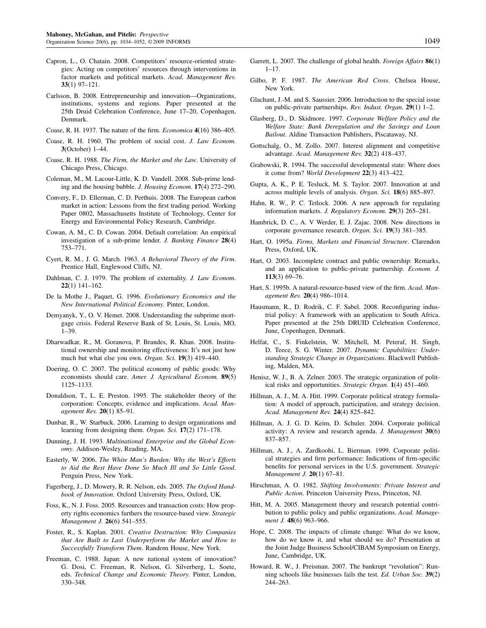- Capron, L., O. Chatain. 2008. Competitors' resource-oriented strategies: Acting on competitors' resources through interventions in factor markets and political markets. Acad. Management Rev. 33(1) 97–121.
- Carlsson, B. 2008. Entrepreneurship and innovation—Organizations, institutions, systems and regions. Paper presented at the 25th Druid Celebration Conference, June 17–20, Copenhagen, Denmark.
- Coase, R. H. 1937. The nature of the firm. Economica 4(16) 386–405.
- Coase, R. H. 1960. The problem of social cost. J. Law Econom. 3(October) 1–44.
- Coase, R. H. 1988. The Firm, the Market and the Law. University of Chicago Press, Chicago.
- Coleman, M., M. Lacour-Little, K. D. Vandell. 2008. Sub-prime lending and the housing bubble. J. Housing Econom. 17(4) 272–290.
- Convery, F., D. Ellerman, C. D. Perthuis. 2008. The European carbon market in action: Lessons from the first trading period. Working Paper 0802, Massachusetts Institute of Technology, Center for Energy and Environmental Policy Research, Cambridge.
- Cowan, A. M., C. D. Cowan. 2004. Default correlation: An empirical investigation of a sub-prime lender. J. Banking Finance 28(4) 753–771.
- Cyert, R. M., J. G. March. 1963. A Behavioral Theory of the Firm. Prentice Hall, Englewood Cliffs, NJ.
- Dahlman, C. J. 1979. The problem of externality. J. Law Econom. 22(1) 141–162.
- De la Mothe J., Paquet, G. 1996. Evolutionary Economics and the New International Political Economy. Pinter, London.
- Demyanyk, Y., O. V. Hemet. 2008. Understanding the subprime mortgage crisis. Federal Reserve Bank of St. Louis, St. Louis, MO, 1–39.
- Dharwadkar, R., M. Goranova, P. Brandes, R. Khan. 2008. Institutional ownership and monitoring effectiveness: It's not just how much but what else you own. Organ. Sci. 19(3) 419-440.
- Doering, O. C. 2007. The political economy of public goods: Why economists should care. Amer. J. Agricultural Econom. 89(5) 1125–1133.
- Donaldson, T., L. E. Preston. 1995. The stakeholder theory of the corporation: Concepts, evidence and implications. Acad. Management Rev. 20(1) 85–91.
- Dunbar, R., W. Starbuck. 2006. Learning to design organizations and learning from designing them. Organ. Sci. 17(2) 171-178.
- Dunning, J. H. 1993. Multinational Enterprise and the Global Economy. Addison-Wesley, Reading, MA.
- Easterly, W. 2006. The White Man's Burden: Why the West's Efforts to Aid the Rest Have Done So Much Ill and So Little Good. Penguin Press, New York.
- Fagerberg, J., D. Mowery, R. R. Nelson, eds. 2005. The Oxford Handbook of Innovation. Oxford University Press, Oxford, UK.
- Foss, K., N. J. Foss. 2005. Resources and transaction costs: How property rights economics furthers the resource-based view. Strategic Management J. 26(6) 541–555.
- Foster, R., S. Kaplan. 2001. Creative Destruction: Why Companies that Are Built to Last Underperform the Market and How to Successfully Transform Them. Random House, New York.
- Freeman, C. 1988. Japan: A new national system of innovation? G. Dosi, C. Freeman, R. Nelson, G. Silverberg, L. Soete, eds. Technical Change and Economic Theory. Pinter, London, 330–348.
- Garrett, L. 2007. The challenge of global health. Foreign Affairs 86(1) 1–17.
- Gilbo, P. F. 1987. The American Red Cross. Chelsea House, New York.
- Glachant, J.-M. and S. Saussier. 2006. Introduction to the special issue on public-private partnerships. Rev. Indust. Organ. 29(1) 1–2.
- Glasberg, D., D. Skidmore. 1997. Corporate Welfare Policy and the Welfare State: Bank Deregulation and the Savings and Loan Bailout. Aldine Transaction Publishers, Piscataway, NJ.
- Gottschalg, O., M. Zollo. 2007. Interest alignment and competitive advantage. Acad. Management Rev. 32(2) 418–437.
- Grabowski, R. 1994. The successful developmental state: Where does it come from? World Development 22(3) 413–422.
- Gupta, A. K., P. E. Tesluck, M. S. Taylor. 2007. Innovation at and across multiple levels of analysis. Organ. Sci. 18(6) 885-897.
- Hahn, R. W., P. C. Tetlock. 2006. A new approach for regulating information markets. J. Regulatory Econom. 29(3) 265–281.
- Hambrick, D. C., A. V Werder, E. J. Zajac. 2008. New directions in corporate governance research. Organ. Sci. 19(3) 381–385.
- Hart, O. 1995a. Firms, Markets and Financial Structure. Clarendon Press, Oxford, UK.
- Hart, O. 2003. Incomplete contract and public ownership: Remarks, and an application to public-private partnership. Econom. J. 113(3) 69–76.
- Hart, S. 1995b. A natural-resource-based view of the firm. Acad. Management Rev. 20(4) 986–1014.
- Hausmann, R., D. Rodrik, C. F. Sabel. 2008. Reconfiguring industrial policy: A framework with an application to South Africa. Paper presented at the 25th DRUID Celebration Conference, June, Copenhagen, Denmark.
- Helfat, C., S. Finkelstein, W. Mitchell, M. Peteraf, H. Singh, D. Teece, S. G. Winter. 2007. Dynamic Capabilities: Understanding Strategic Change in Organizations. Blackwell Publishing, Malden, MA.
- Henisz, W. J., B. A. Zelner. 2003. The strategic organization of political risks and opportunities. Strategic Organ. 1(4) 451–460.
- Hillman, A. J., M. A. Hitt. 1999. Corporate political strategy formulation: A model of approach, participation, and strategy decision. Acad. Management Rev. 24(4) 825–842.
- Hillman, A. J. G. D. Keim, D. Schuler. 2004. Corporate political activity: A review and research agenda. J. Management 30(6) 837–857.
- Hillman, A. J., A. Zardkoohi, L. Bierman. 1999. Corporate political strategies and firm performance: Indications of firm-specific benefits for personal services in the U.S. government. Strategic Management J. 20(1) 67–81.
- Hirschman, A. O. 1982. Shifting Involvements: Private Interest and Public Action. Princeton University Press, Princeton, NJ.
- Hitt, M. A. 2005. Management theory and research potential contribution to public policy and public organizations. Acad. Management J. 48(6) 963-966.
- Hope, C. 2008. The impacts of climate change: What do we know, how do we know it, and what should we do? Presentation at the Joint Judge Business School/CIBAM Symposium on Energy, June, Cambridge, UK.
- Howard, R. W., J. Preisman. 2007. The bankrupt "revolution": Running schools like businesses fails the test. Ed. Urban Soc. 39(2) 244–263.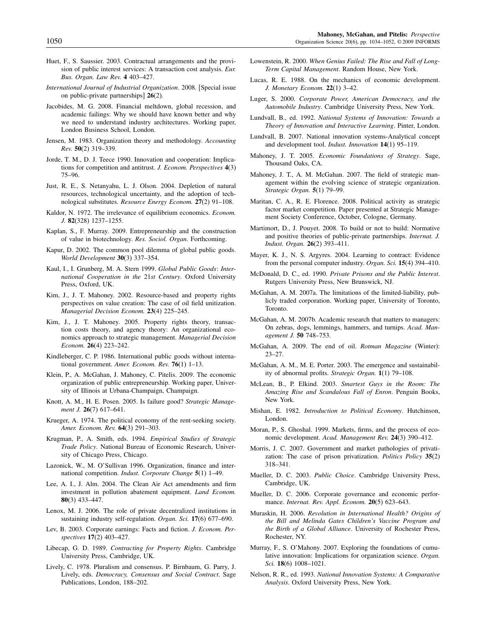- Huet, F., S. Saussier. 2003. Contractual arrangements and the provision of public interest services: A transaction cost analysis. Eur. Bus. Organ. Law Rev. 4 403–427.
- International Journal of Industrial Organization. 2008. [Special issue on public-private partnerships] 26(2).
- Jacobides, M. G. 2008. Financial meltdown, global recession, and academic failings: Why we should have known better and why we need to understand industry architectures. Working paper, London Business School, London.
- Jensen, M. 1983. Organization theory and methodology. Accounting Rev. 50(2) 319–339.
- Jorde, T. M., D. J. Teece 1990. Innovation and cooperation: Implications for competition and antitrust. J. Econom. Perspectives 4(3) 75–96.
- Just, R. E., S. Netanyahu, L. J. Olson. 2004. Depletion of natural resources, technological uncertainty, and the adoption of technological substitutes. Resource Energy Econom. 27(2) 91–108.
- Kaldor, N. 1972. The irrelevance of equilibrium economics. Econom. J. 82(328) 1237–1255.
- Kaplan, S., F. Murray. 2009. Entrepreneurship and the construction of value in biotechnology. Res. Sociol. Organ. Forthcoming.
- Kapur, D. 2002. The common pool dilemma of global public goods. World Development 30(3) 337–354.
- Kaul, I., I. Grunberg, M. A. Stern 1999. Global Public Goods: International Cooperation in the 21st Century. Oxford University Press, Oxford, UK.
- Kim, J., J. T. Mahoney. 2002. Resource-based and property rights perspectives on value creation: The case of oil field unitization. Managerial Decision Econom. 23(4) 225-245.
- Kim, J., J. T. Mahoney. 2005. Property rights theory, transaction costs theory, and agency theory: An organizational economics approach to strategic management. Managerial Decision Econom. 26(4) 223–242.
- Kindleberger, C. P. 1986. International public goods without international government. Amer. Econom. Rev. 76(1) 1–13.
- Klein, P., A. McGahan, J. Mahoney, C. Pitelis. 2009. The economic organization of public entrepreneurship. Working paper, University of Illinois at Urbana-Champaign, Champaign.
- Knott, A. M., H. E. Posen. 2005. Is failure good? Strategic Management J. 26(7) 617–641.
- Krueger, A. 1974. The political economy of the rent-seeking society. Amer. Econom. Rev. 64(3) 291–303.
- Krugman, P., A. Smith, eds. 1994. Empirical Studies of Strategic Trade Policy. National Bureau of Economic Research, University of Chicago Press, Chicago.
- Lazonick, W., M. O'Sullivan 1996. Organization, finance and international competition. *Indust. Corporate Change* 5(1) 1–49.
- Lee, A. I., J. Alm. 2004. The Clean Air Act amendments and firm investment in pollution abatement equipment. Land Econom. 80(3) 433–447.
- Lenox, M. J. 2006. The role of private decentralized institutions in sustaining industry self-regulation. Organ. Sci. 17(6) 677-690.
- Lev, B. 2003. Corporate earnings: Facts and fiction. J. Econom. Perspectives 17(2) 403–427.
- Libecap, G. D. 1989. Contracting for Property Rights. Cambridge University Press, Cambridge, UK.
- Lively, C. 1978. Pluralism and consensus. P. Birnbaum, G. Parry, J. Lively, eds. Democracy, Consensus and Social Contract. Sage Publications, London, 188–202.
- Lowenstein, R. 2000. When Genius Failed: The Rise and Fall of Long-Term Capital Management. Random House, New York.
- Lucas, R. E. 1988. On the mechanics of economic development. J. Monetary Econom. 22(1) 3–42.
- Luger, S. 2000. Corporate Power, American Democracy, and the Automobile Industry. Cambridge University Press, New York.
- Lundvall, B., ed. 1992. National Systems of Innovation: Towards a Theory of Innovation and Interactive Learning. Pinter, London.
- Lundvall, B. 2007. National innovation systems-Analytical concept and development tool. Indust. Innovation 14(1) 95–119.
- Mahoney, J. T. 2005. Economic Foundations of Strategy. Sage, Thousand Oaks, CA.
- Mahoney, J. T., A. M. McGahan. 2007. The field of strategic management within the evolving science of strategic organization. Strategic Organ. 5(1) 79-99.
- Maritan, C. A., R. E. Florence. 2008. Political activity as strategic factor market competition. Paper presented at Strategic Management Society Conference, October, Cologne, Germany.
- Martimort, D., J. Pouyet. 2008. To build or not to build: Normative and positive theories of public-private partnerships. Internat. J. Indust. Organ. 26(2) 393–411.
- Mayer, K. J., N. S. Argyres. 2004. Learning to contract: Evidence from the personal computer industry. Organ. Sci. 15(4) 394–410.
- McDonald, D. C., ed. 1990. Private Prisons and the Public Interest. Rutgers University Press, New Brunswick, NJ.
- McGahan, A. M. 2007a. The limitations of the limited-liability, publicly traded corporation. Working paper, University of Toronto, **Toronto**
- McGahan, A. M. 2007b. Academic research that matters to managers: On zebras, dogs, lemmings, hammers, and turnips. Acad. Management J. 50 748–753.
- McGahan, A. 2009. The end of oil. Rotman Magazine (Winter): 23–27.
- McGahan, A. M., M. E. Porter. 2003. The emergence and sustainability of abnormal profits. Strategic Organ. 1(1) 79–108.
- McLean, B., P. Elkind. 2003. Smartest Guys in the Room: The Amazing Rise and Scandalous Fall of Enron. Penguin Books, New York.
- Mishan, E. 1982. Introduction to Political Economy. Hutchinson, London.
- Moran, P., S. Ghoshal. 1999. Markets, firms, and the process of economic development. Acad. Management Rev. 24(3) 390–412.
- Morris, J. C. 2007. Government and market pathologies of privatization: The case of prison privatization. Politics Policy 35(2) 318–341.
- Mueller, D. C. 2003. Public Choice. Cambridge University Press, Cambridge, UK.
- Mueller, D. C. 2006. Corporate governance and economic performance. Internat. Rev. Appl. Econom. 20(5) 623-643.
- Muraskin, H. 2006. Revolution in International Health? Origins of the Bill and Melinda Gates Children's Vaccine Program and the Birth of a Global Alliance. University of Rochester Press, Rochester, NY.
- Murray, F., S. O'Mahony. 2007. Exploring the foundations of cumulative innovation: Implications for organization science. Organ. Sci. 18(6) 1008–1021.
- Nelson, R. R., ed. 1993. National Innovation Systems: A Comparative Analysis. Oxford University Press, New York.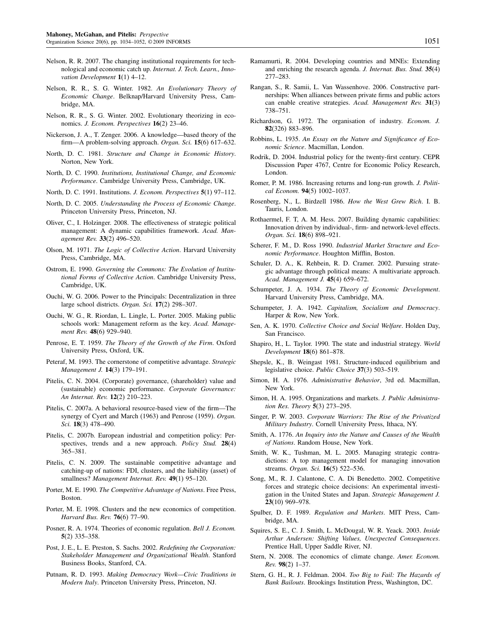- Nelson, R. R. 2007. The changing institutional requirements for technological and economic catch up. Internat. J. Tech. Learn., Innovation Development  $1(1)$  4-12.
- Nelson, R. R., S. G. Winter. 1982. An Evolutionary Theory of Economic Change. Belknap/Harvard University Press, Cambridge, MA.
- Nelson, R. R., S. G. Winter. 2002. Evolutionary theorizing in economics. J. Econom. Perspectives 16(2) 23–46.
- Nickerson, J. A., T. Zenger. 2006. A knowledge—based theory of the firm—A problem-solving approach. Organ. Sci. 15(6) 617–632.
- North, D. C. 1981. Structure and Change in Economic History. Norton, New York.
- North, D. C. 1990. Institutions, Institutional Change, and Economic Performance. Cambridge University Press, Cambridge, UK.
- North, D. C. 1991. Institutions. J. Econom. Perspectives  $5(1)$  97-112.
- North, D. C. 2005. Understanding the Process of Economic Change. Princeton University Press, Princeton, NJ.
- Oliver, C., I. Holzinger. 2008. The effectiveness of strategic political management: A dynamic capabilities framework. Acad. Management Rev. 33(2) 496-520.
- Olson, M. 1971. The Logic of Collective Action. Harvard University Press, Cambridge, MA.
- Ostrom, E. 1990. Governing the Commons: The Evolution of Institutional Forms of Collective Action. Cambridge University Press, Cambridge, UK.
- Ouchi, W. G. 2006. Power to the Principals: Decentralization in three large school districts. Organ. Sci. 17(2) 298-307.
- Ouchi, W. G., R. Riordan, L. Lingle, L. Porter. 2005. Making public schools work: Management reform as the key. Acad. Management Rev. 48(6) 929-940.
- Penrose, E. T. 1959. The Theory of the Growth of the Firm. Oxford University Press, Oxford, UK.
- Peteraf, M. 1993. The cornerstone of competitive advantage. Strategic Management J. 14(3) 179–191.
- Pitelis, C. N. 2004. (Corporate) governance, (shareholder) value and (sustainable) economic performance. Corporate Governance: An Internat. Rev. 12(2) 210–223.
- Pitelis, C. 2007a. A behavioral resource-based view of the firm—The synergy of Cyert and March (1963) and Penrose (1959). Organ. Sci. **18**(3) 478-490.
- Pitelis, C. 2007b. European industrial and competition policy: Perspectives, trends and a new approach. Policy Stud. 28(4) 365–381.
- Pitelis, C. N. 2009. The sustainable competitive advantage and catching-up of nations: FDI, clusters, and the liability (asset) of smallness? Management Internat. Rev. 49(1) 95-120.
- Porter, M. E. 1990. The Competitive Advantage of Nations. Free Press, Boston.
- Porter, M. E. 1998. Clusters and the new economics of competition. Harvard Bus. Rev. 76(6) 77–90.
- Posner, R. A. 1974. Theories of economic regulation. Bell J. Econom. 5(2) 335–358.
- Post, J. E., L. E. Preston, S. Sachs. 2002. Redefining the Corporation: Stakeholder Management and Organizational Wealth. Stanford Business Books, Stanford, CA.
- Putnam, R. D. 1993. Making Democracy Work—Civic Traditions in Modern Italy. Princeton University Press, Princeton, NJ.
- Ramamurti, R. 2004. Developing countries and MNEs: Extending and enriching the research agenda. J. Internat. Bus. Stud. 35(4) 277–283.
- Rangan, S., R. Samii, L. Van Wassenhove. 2006. Constructive partnerships: When alliances between private firms and public actors can enable creative strategies. Acad. Management Rev. 31(3) 738–751.
- Richardson, G. 1972. The organisation of industry. Econom. J. 82(326) 883–896.
- Robbins, L. 1935. An Essay on the Nature and Significance of Economic Science. Macmillan, London.
- Rodrik, D. 2004. Industrial policy for the twenty-first century. CEPR Discussion Paper 4767, Centre for Economic Policy Research, London.
- Romer, P. M. 1986. Increasing returns and long-run growth. J. Political Econom. 94(5) 1002–1037.
- Rosenberg, N., L. Birdzell 1986. How the West Grew Rich. I. B. Tauris, London.
- Rothaermel, F. T, A. M. Hess. 2007. Building dynamic capabilities: Innovation driven by individual-, firm- and network-level effects. Organ. Sci. 18(6) 898–921.
- Scherer, F. M., D. Ross 1990. Industrial Market Structure and Economic Performance. Houghton Mifflin, Boston.
- Schuler, D. A., K. Rehbein, R. D. Cramer. 2002. Pursuing strategic advantage through political means: A multivariate approach. Acad. Management J. 45(4) 659–672.
- Schumpeter, J. A. 1934. The Theory of Economic Development. Harvard University Press, Cambridge, MA.
- Schumpeter, J. A. 1942. Capitalism, Socialism and Democracy. Harper & Row, New York.
- Sen, A. K. 1970. Collective Choice and Social Welfare. Holden Day, San Francisco.
- Shapiro, H., L. Taylor. 1990. The state and industrial strategy. World Development 18(6) 861–878.
- Shepsle, K., B. Weingast 1981. Structure-induced equilibrium and legislative choice. Public Choice 37(3) 503–519.
- Simon, H. A. 1976. Administrative Behavior, 3rd ed. Macmillan, New York.
- Simon, H. A. 1995. Organizations and markets. J. Public Administration Res. Theory 5(3) 273–295.
- Singer, P. W. 2003. Corporate Warriors: The Rise of the Privatized Military Industry. Cornell University Press, Ithaca, NY.
- Smith, A. 1776. An Inquiry into the Nature and Causes of the Wealth of Nations. Random House, New York.
- Smith, W. K., Tushman, M. L. 2005. Managing strategic contradictions: A top management model for managing innovation streams. Organ. Sci. 16(5) 522-536.
- Song, M., R. J. Calantone, C. A. Di Benedetto. 2002. Competitive forces and strategic choice decisions: An experimental investigation in the United States and Japan. Strategic Management J. 23(10) 969–978.
- Spulber, D. F. 1989. Regulation and Markets. MIT Press, Cambridge, MA.
- Squires, S. E., C. J. Smith, L. McDougal, W. R. Yeack. 2003. Inside Arthur Andersen: Shifting Values, Unexpected Consequences. Prentice Hall, Upper Saddle River, NJ.
- Stern, N. 2008. The economics of climate change. Amer. Econom. Rev. 98(2) 1–37.
- Stern, G. H., R. J. Feldman. 2004. Too Big to Fail: The Hazards of Bank Bailouts. Brookings Institution Press, Washington, DC.